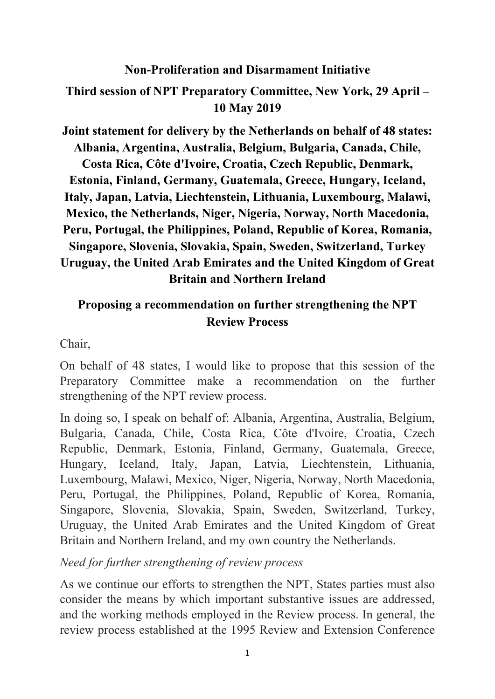## **Non-Proliferation and Disarmament Initiative**

## **Third session of NPT Preparatory Committee, New York, 29 April – 10 May 2019**

**Joint statement for delivery by the Netherlands on behalf of 48 states: Albania, Argentina, Australia, Belgium, Bulgaria, Canada, Chile, Costa Rica, Côte d'Ivoire, Croatia, Czech Republic, Denmark, Estonia, Finland, Germany, Guatemala, Greece, Hungary, Iceland, Italy, Japan, Latvia, Liechtenstein, Lithuania, Luxembourg, Malawi, Mexico, the Netherlands, Niger, Nigeria, Norway, North Macedonia, Peru, Portugal, the Philippines, Poland, Republic of Korea, Romania, Singapore, Slovenia, Slovakia, Spain, Sweden, Switzerland, Turkey Uruguay, the United Arab Emirates and the United Kingdom of Great Britain and Northern Ireland** 

## **Proposing a recommendation on further strengthening the NPT Review Process**

Chair,

On behalf of 48 states, I would like to propose that this session of the Preparatory Committee make a recommendation on the further strengthening of the NPT review process.

In doing so, I speak on behalf of: Albania, Argentina, Australia, Belgium, Bulgaria, Canada, Chile, Costa Rica, Côte d'Ivoire, Croatia, Czech Republic, Denmark, Estonia, Finland, Germany, Guatemala, Greece, Hungary, Iceland, Italy, Japan, Latvia, Liechtenstein, Lithuania, Luxembourg, Malawi, Mexico, Niger, Nigeria, Norway, North Macedonia, Peru, Portugal, the Philippines, Poland, Republic of Korea, Romania, Singapore, Slovenia, Slovakia, Spain, Sweden, Switzerland, Turkey, Uruguay, the United Arab Emirates and the United Kingdom of Great Britain and Northern Ireland, and my own country the Netherlands.

*Need for further strengthening of review process*

As we continue our efforts to strengthen the NPT, States parties must also consider the means by which important substantive issues are addressed, and the working methods employed in the Review process. In general, the review process established at the 1995 Review and Extension Conference